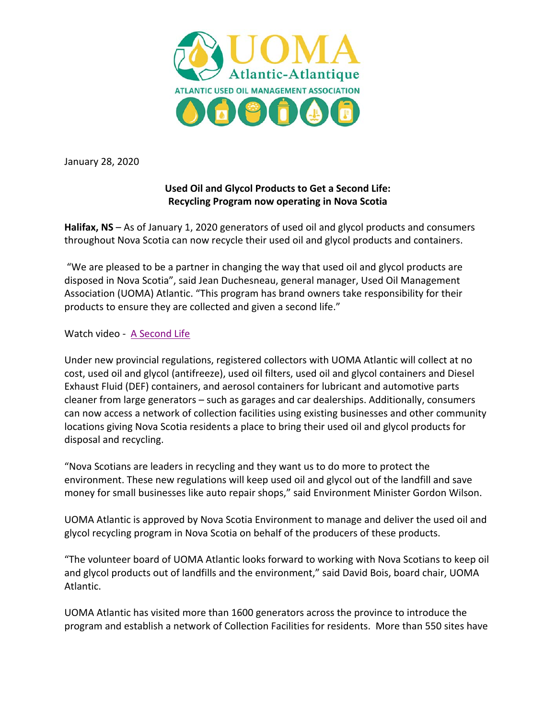

January 28, 2020

## **Used Oil and Glycol Products to Get a Second Life: Recycling Program now operating in Nova Scotia**

**Halifax, NS** – As of January 1, 2020 generators of used oil and glycol products and consumers throughout Nova Scotia can now recycle their used oil and glycol products and containers.

 "We are pleased to be a partner in changing the way that used oil and glycol products are disposed in Nova Scotia", said Jean Duchesneau, general manager, Used Oil Management Association (UOMA) Atlantic. "This program has brand owners take responsibility for their products to ensure they are collected and given a second life."

Watch video - [A Second Life](https://www.youtube.com/watch?v=5GYToqS7wFs)

Under new provincial regulations, registered collectors with UOMA Atlantic will collect at no cost, used oil and glycol (antifreeze), used oil filters, used oil and glycol containers and Diesel Exhaust Fluid (DEF) containers, and aerosol containers for lubricant and automotive parts cleaner from large generators – such as garages and car dealerships. Additionally, consumers can now access a network of collection facilities using existing businesses and other community locations giving Nova Scotia residents a place to bring their used oil and glycol products for disposal and recycling.

"Nova Scotians are leaders in recycling and they want us to do more to protect the environment. These new regulations will keep used oil and glycol out of the landfill and save money for small businesses like auto repair shops," said Environment Minister Gordon Wilson.

UOMA Atlantic is approved by Nova Scotia Environment to manage and deliver the used oil and glycol recycling program in Nova Scotia on behalf of the producers of these products.

"The volunteer board of UOMA Atlantic looks forward to working with Nova Scotians to keep oil and glycol products out of landfills and the environment," said David Bois, board chair, UOMA Atlantic.

UOMA Atlantic has visited more than 1600 generators across the province to introduce the program and establish a network of Collection Facilities for residents. More than 550 sites have